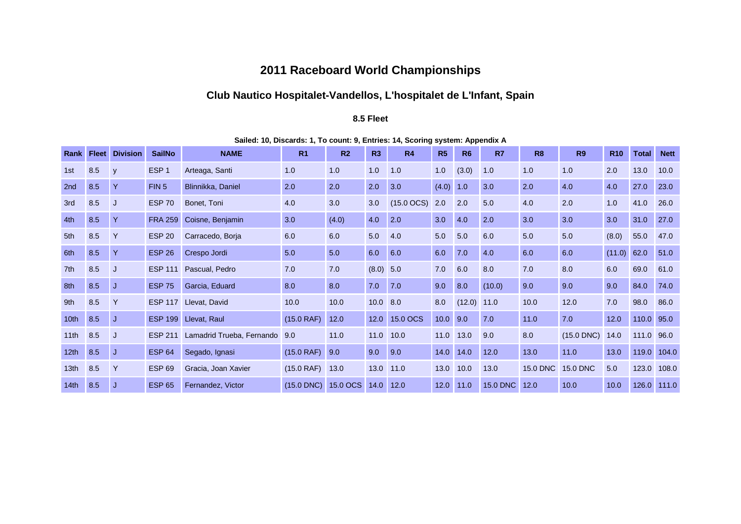## **2011 Raceboard World Championships**

# **Club Nautico Hospitalet-Vandellos, L'hospitalet de L'Infant, Spain**

#### **8.5 Fleet**

|                  | <b>Rank Fleet</b> | <b>Division</b> | <b>SailNo</b>    | <b>NAME</b>               | R <sub>1</sub> | R <sub>2</sub> | R3         | <b>R4</b>     | R5          | <b>R6</b>     | R7              | R <sub>8</sub>  | <b>R9</b>       | <b>R10</b> | <b>Total</b> | <b>Nett</b> |
|------------------|-------------------|-----------------|------------------|---------------------------|----------------|----------------|------------|---------------|-------------|---------------|-----------------|-----------------|-----------------|------------|--------------|-------------|
| 1st              | 8.5               | y               | ESP <sub>1</sub> | Arteaga, Santi            | 1.0            | 1.0            | 1.0        | 1.0           | 1.0         | (3.0)         | 1.0             | 1.0             | 1.0             | 2.0        | 13.0         | 10.0        |
| 2nd              | 8.5               | $\mathsf{Y}$    | FIN <sub>5</sub> | Blinnikka, Daniel         | 2.0            | 2.0            | 2.0        | 3.0           | $(4.0)$ 1.0 |               | 3.0             | 2.0             | 4.0             | 4.0        | 27.0         | 23.0        |
| 3rd              | 8.5               | J               | <b>ESP 70</b>    | Bonet, Toni               | 4.0            | 3.0            | 3.0        | $(15.0$ OCS)  | 2.0         | 2.0           | 5.0             | 4.0             | 2.0             | 1.0        | 41.0         | 26.0        |
| 4th              | 8.5               | $\mathsf{Y}$    | <b>FRA 259</b>   | Coisne, Benjamin          | 3.0            | (4.0)          | 4.0        | 2.0           | 3.0         | 4.0           | 2.0             | 3.0             | 3.0             | 3.0        | 31.0         | 27.0        |
| 5th              | 8.5               | $\mathsf{Y}$    | <b>ESP 20</b>    | Carracedo, Borja          | 6.0            | 6.0            | 5.0        | 4.0           | 5.0         | 5.0           | 6.0             | 5.0             | 5.0             | (8.0)      | 55.0         | 47.0        |
| 6th              | 8.5               | $\mathsf{Y}$    | <b>ESP 26</b>    | Crespo Jordi              | 5.0            | 5.0            | 6.0        | 6.0           | 6.0         | 7.0           | 4.0             | 6.0             | 6.0             | (11.0)     | 62.0         | 51.0        |
| 7th              | 8.5               | J               | <b>ESP 111</b>   | Pascual, Pedro            | 7.0            | 7.0            | (8.0) 5.0  |               | 7.0         | 6.0           | 8.0             | 7.0             | 8.0             | 6.0        | 69.0         | 61.0        |
| 8th              | 8.5               | J.              | <b>ESP 75</b>    | Garcia, Eduard            | 8.0            | 8.0            | 7.0        | 7.0           | 9.0         | 8.0           | (10.0)          | 9.0             | 9.0             | 9.0        | 84.0         | 74.0        |
| 9th              | 8.5               | $\mathsf{Y}$    | <b>ESP 117</b>   | Llevat, David             | 10.0           | 10.0           | $10.0$ 8.0 |               | 8.0         | $(12.0)$ 11.0 |                 | 10.0            | 12.0            | 7.0        | 98.0         | 86.0        |
| 10 <sub>th</sub> | 8.5               | J.              | <b>ESP 199</b>   | Llevat, Raul              | (15.0 RAF)     | 12.0           |            | 12.0 15.0 OCS | $10.0$ 9.0  |               | 7.0             | 11.0            | 7.0             | 12.0       | 110.0        | 95.0        |
| 11th             | 8.5               | J               | <b>ESP 211</b>   | Lamadrid Trueba, Fernando | 9.0            | 11.0           | 11.0       | 10.0          | 11.0        | 13.0          | 9.0             | 8.0             | $(15.0$ DNC)    | 14.0       | 111.0        | 96.0        |
| 12 <sub>th</sub> | 8.5               | J.              | <b>ESP 64</b>    | Segado, Ignasi            | (15.0 RAF)     | 9.0            | 9.0        | 9.0           | 14.0        | 14.0          | 12.0            | 13.0            | 11.0            | 13.0       | 119.0        | 104.0       |
| 13 <sub>th</sub> | 8.5               | Y               | <b>ESP 69</b>    | Gracia, Joan Xavier       | $(15.0$ RAF)   | 13.0           | 13.0 11.0  |               | 13.0        | 10.0          | 13.0            | <b>15.0 DNC</b> | <b>15.0 DNC</b> | 5.0        | 123.0        | 108.0       |
| 14th             | 8.5               | J               | <b>ESP 65</b>    | Fernandez, Victor         | $(15.0$ DNC)   | 15.0 OCS       | 14.0 12.0  |               | 12.0        | 11.0          | <b>15.0 DNC</b> | 12.0            | 10.0            | 10.0       | 126.0        | 111.0       |

**Sailed: 10, Discards: 1, To count: 9, Entries: 14, Scoring system: Appendix A**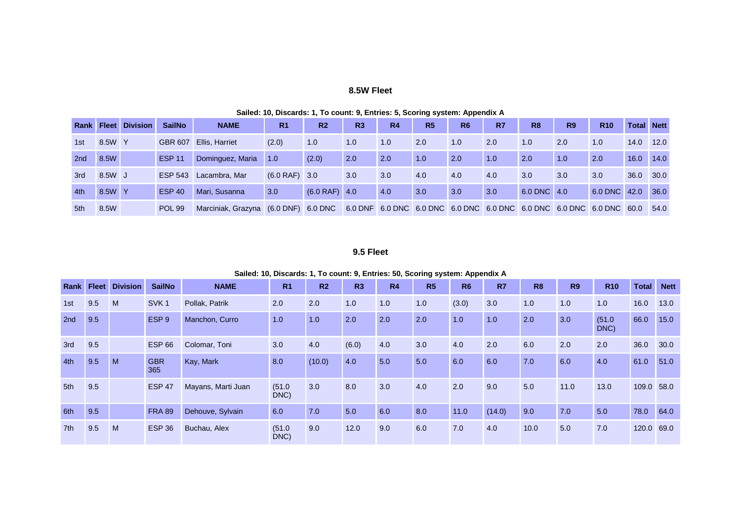#### **8.5W Fleet**

|     |        | <b>Rank Fleet Division</b> | <b>SailNo</b>  | <b>NAME</b>                          | R <sub>1</sub>  | R <sub>2</sub>  | R3  | R <sub>4</sub> | R <sub>5</sub> | R <sub>6</sub>                                                       | R7  | R <sub>8</sub> | R <sub>9</sub> | <b>R10</b>   | <b>Total Nett</b> |      |
|-----|--------|----------------------------|----------------|--------------------------------------|-----------------|-----------------|-----|----------------|----------------|----------------------------------------------------------------------|-----|----------------|----------------|--------------|-------------------|------|
| 1st | 8.5W Y |                            | GBR 607        | Ellis, Harriet                       | (2.0)           | 1.0             | 1.0 | 1.0            | 2.0            | 1.0                                                                  | 2.0 | 1.0            | 2.0            | 1.0          | 14.0              | 12.0 |
| 2nd | 8.5W   |                            | <b>ESP 11</b>  | Dominguez, Maria                     | 1.0             | (2.0)           | 2.0 | 2.0            | 1.0            | 2.0                                                                  | 1.0 | 2.0            | 1.0            | 2.0          | 16.0              | 14.0 |
| 3rd | 8.5W J |                            | <b>ESP 543</b> | Lacambra, Mar                        | $(6.0$ RAF) 3.0 |                 | 3.0 | 3.0            | 4.0            | 4.0                                                                  | 4.0 | 3.0            | 3.0            | 3.0          | 36.0              | 30.0 |
| 4th | 8.5W Y |                            | <b>ESP 40</b>  | Mari, Susanna                        | 3.0             | $(6.0$ RAF) 4.0 |     | 4.0            | 3.0            | 3.0                                                                  | 3.0 | 6.0 DNC 4.0    |                | 6.0 DNC 42.0 |                   | 36.0 |
| 5th | 8.5W   |                            | POL 99         | Marciniak, Grazyna (6.0 DNF) 6.0 DNC |                 |                 |     |                |                | 6.0 DNF 6.0 DNC 6.0 DNC 6.0 DNC 6.0 DNC 6.0 DNC 6.0 DNC 6.0 DNC 60.0 |     |                |                |              |                   | 54.0 |

#### **Sailed: 10, Discards: 1, To count: 9, Entries: 5, Scoring system: Appendix A**

### **9.5 Fleet**

|  |  |  |  |  |  | Sailed: 10, Discards: 1, To count: 9, Entries: 50, Scoring system: Appendix A |  |  |  |  |  |
|--|--|--|--|--|--|-------------------------------------------------------------------------------|--|--|--|--|--|
|--|--|--|--|--|--|-------------------------------------------------------------------------------|--|--|--|--|--|

| <b>Rank</b> | <b>Fleet</b> | <b>Division</b> | <b>SailNo</b>     | <b>NAME</b>        | R <sub>1</sub> | R <sub>2</sub> | R3    | R <sub>4</sub> | R <sub>5</sub> | R <sub>6</sub> | R7     | R <sub>8</sub> | <b>R9</b> | <b>R10</b>     | <b>Total</b> | <b>Nett</b> |
|-------------|--------------|-----------------|-------------------|--------------------|----------------|----------------|-------|----------------|----------------|----------------|--------|----------------|-----------|----------------|--------------|-------------|
| 1st         | 9.5          | M               | SVK <sub>1</sub>  | Pollak, Patrik     | 2.0            | 2.0            | 1.0   | 1.0            | 1.0            | (3.0)          | 3.0    | 1.0            | 1.0       | 1.0            | 16.0         | 13.0        |
| 2nd         | 9.5          |                 | ESP <sub>9</sub>  | Manchon, Curro     | 1.0            | 1.0            | 2.0   | 2.0            | 2.0            | 1.0            | 1.0    | 2.0            | 3.0       | (51.0)<br>DNC) | 66.0         | 15.0        |
| 3rd         | 9.5          |                 | <b>ESP 66</b>     | Colomar, Toni      | 3.0            | 4.0            | (6.0) | 4.0            | 3.0            | 4.0            | 2.0    | 6.0            | 2.0       | 2.0            | 36.0         | 30.0        |
| 4th         | 9.5          | M               | <b>GBR</b><br>365 | Kay, Mark          | 8.0            | (10.0)         | 4.0   | 5.0            | 5.0            | 6.0            | 6.0    | 7.0            | 6.0       | 4.0            | 61.0         | 51.0        |
| 5th         | 9.5          |                 | <b>ESP 47</b>     | Mayans, Marti Juan | (51.0)<br>DNC) | 3.0            | 8.0   | 3.0            | 4.0            | 2.0            | 9.0    | 5.0            | 11.0      | 13.0           | 109.0        | 58.0        |
| 6th         | 9.5          |                 | <b>FRA 89</b>     | Dehouve, Sylvain   | 6.0            | 7.0            | 5.0   | 6.0            | 8.0            | 11.0           | (14.0) | 9.0            | 7.0       | 5.0            | 78.0         | 64.0        |
| 7th         | 9.5          | M               | <b>ESP 36</b>     | Buchau, Alex       | (51.0)<br>DNC) | 9.0            | 12.0  | 9.0            | 6.0            | 7.0            | 4.0    | 10.0           | 5.0       | 7.0            | 120.0        | 69.0        |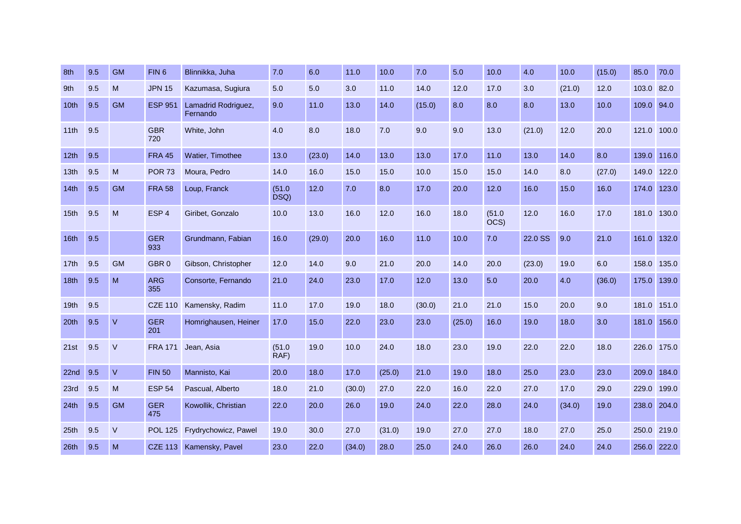| 8th              | 9.5 | <b>GM</b> | FIN <sub>6</sub>  | Blinnikka, Juha                 | 7.0            | 6.0    | 11.0   | 10.0   | 7.0    | 5.0    | 10.0           | 4.0     | 10.0   | (15.0) | 85.0        | 70.0        |
|------------------|-----|-----------|-------------------|---------------------------------|----------------|--------|--------|--------|--------|--------|----------------|---------|--------|--------|-------------|-------------|
| 9th              | 9.5 | M         | <b>JPN 15</b>     | Kazumasa, Sugiura               | 5.0            | 5.0    | 3.0    | 11.0   | 14.0   | 12.0   | 17.0           | 3.0     | (21.0) | 12.0   | 103.0       | 82.0        |
| 10th             | 9.5 | <b>GM</b> | <b>ESP 951</b>    | Lamadrid Rodriguez,<br>Fernando | 9.0            | 11.0   | 13.0   | 14.0   | (15.0) | 8.0    | 8.0            | 8.0     | 13.0   | 10.0   | 109.0       | 94.0        |
| 11th             | 9.5 |           | <b>GBR</b><br>720 | White, John                     | 4.0            | 8.0    | 18.0   | 7.0    | 9.0    | 9.0    | 13.0           | (21.0)  | 12.0   | 20.0   | 121.0       | 100.0       |
| 12th             | 9.5 |           | <b>FRA 45</b>     | Watier, Timothee                | 13.0           | (23.0) | 14.0   | 13.0   | 13.0   | 17.0   | 11.0           | 13.0    | 14.0   | 8.0    | 139.0       | 116.0       |
| 13 <sub>th</sub> | 9.5 | M         | <b>POR 73</b>     | Moura, Pedro                    | 14.0           | 16.0   | 15.0   | 15.0   | 10.0   | 15.0   | 15.0           | 14.0    | 8.0    | (27.0) | 149.0       | 122.0       |
| 14th             | 9.5 | <b>GM</b> | <b>FRA 58</b>     | Loup, Franck                    | (51.0)<br>DSQ) | 12.0   | 7.0    | 8.0    | 17.0   | 20.0   | 12.0           | 16.0    | 15.0   | 16.0   | 174.0       | 123.0       |
| 15 <sub>th</sub> | 9.5 | M         | ESP <sub>4</sub>  | Giribet, Gonzalo                | 10.0           | 13.0   | 16.0   | 12.0   | 16.0   | 18.0   | (51.0)<br>OCS) | 12.0    | 16.0   | 17.0   | 181.0       | 130.0       |
| 16th             | 9.5 |           | <b>GER</b><br>933 | Grundmann, Fabian               | 16.0           | (29.0) | 20.0   | 16.0   | 11.0   | 10.0   | 7.0            | 22.0 SS | 9.0    | 21.0   | 161.0       | 132.0       |
| 17th             | 9.5 | <b>GM</b> | GBR <sub>0</sub>  | Gibson, Christopher             | 12.0           | 14.0   | 9.0    | 21.0   | 20.0   | 14.0   | 20.0           | (23.0)  | 19.0   | 6.0    | 158.0       | 135.0       |
| 18th             | 9.5 | M         | <b>ARG</b><br>355 | Consorte, Fernando              | 21.0           | 24.0   | 23.0   | 17.0   | 12.0   | 13.0   | 5.0            | 20.0    | 4.0    | (36.0) | 175.0       | 139.0       |
| 19 <sub>th</sub> | 9.5 |           | <b>CZE 110</b>    | Kamensky, Radim                 | 11.0           | 17.0   | 19.0   | 18.0   | (30.0) | 21.0   | 21.0           | 15.0    | 20.0   | 9.0    | 181.0       | 151.0       |
| 20th             | 9.5 | $\vee$    | <b>GER</b><br>201 | Homrighausen, Heiner            | 17.0           | 15.0   | 22.0   | 23.0   | 23.0   | (25.0) | 16.0           | 19.0    | 18.0   | 3.0    | 181.0       | 156.0       |
| 21st             | 9.5 | $\vee$    | <b>FRA 171</b>    | Jean, Asia                      | (51.0)<br>RAF) | 19.0   | 10.0   | 24.0   | 18.0   | 23.0   | 19.0           | 22.0    | 22.0   | 18.0   |             | 226.0 175.0 |
| 22 <sub>nd</sub> | 9.5 | $\vee$    | <b>FIN 50</b>     | Mannisto, Kai                   | 20.0           | 18.0   | 17.0   | (25.0) | 21.0   | 19.0   | 18.0           | 25.0    | 23.0   | 23.0   | 209.0       | 184.0       |
| 23rd             | 9.5 | M         | <b>ESP 54</b>     | Pascual, Alberto                | 18.0           | 21.0   | (30.0) | 27.0   | 22.0   | 16.0   | 22.0           | 27.0    | 17.0   | 29.0   | 229.0       | 199.0       |
| 24th             | 9.5 | <b>GM</b> | <b>GER</b><br>475 | Kowollik, Christian             | 22.0           | 20.0   | 26.0   | 19.0   | 24.0   | 22.0   | 28.0           | 24.0    | (34.0) | 19.0   | 238.0 204.0 |             |
| 25 <sub>th</sub> | 9.5 | $\vee$    | <b>POL 125</b>    | Frydrychowicz, Pawel            | 19.0           | 30.0   | 27.0   | (31.0) | 19.0   | 27.0   | 27.0           | 18.0    | 27.0   | 25.0   | 250.0       | 219.0       |
| 26th             | 9.5 | M         | <b>CZE 113</b>    | Kamensky, Pavel                 | 23.0           | 22.0   | (34.0) | 28.0   | 25.0   | 24.0   | 26.0           | 26.0    | 24.0   | 24.0   | 256.0 222.0 |             |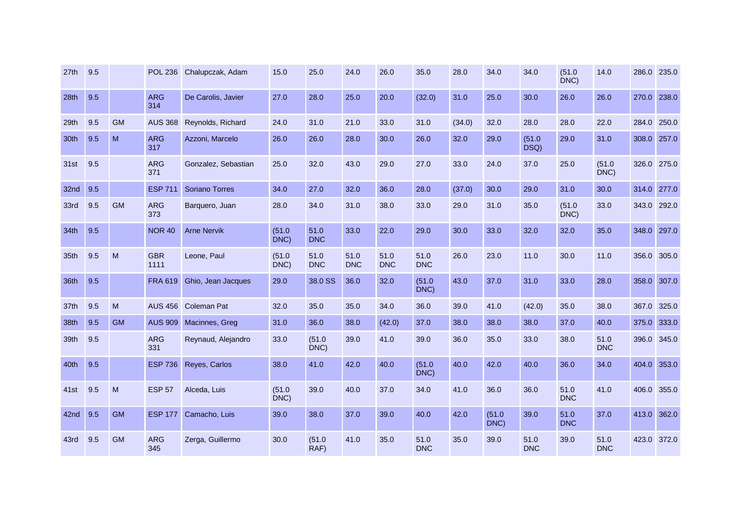| 27th             | 9.5 |           | <b>POL 236</b>     | Chalupczak, Adam      | 15.0           | 25.0               | 24.0               | 26.0               | 35.0               | 28.0   | 34.0           | 34.0               | (51.0<br>DNC)      | 14.0               | 286.0 235.0 |       |
|------------------|-----|-----------|--------------------|-----------------------|----------------|--------------------|--------------------|--------------------|--------------------|--------|----------------|--------------------|--------------------|--------------------|-------------|-------|
| 28th             | 9.5 |           | <b>ARG</b><br>314  | De Carolis, Javier    | 27.0           | 28.0               | 25.0               | 20.0               | (32.0)             | 31.0   | 25.0           | 30.0               | 26.0               | 26.0               | 270.0       | 238.0 |
| 29th             | 9.5 | <b>GM</b> | <b>AUS 368</b>     | Reynolds, Richard     | 24.0           | 31.0               | 21.0               | 33.0               | 31.0               | (34.0) | 32.0           | 28.0               | 28.0               | 22.0               | 284.0       | 250.0 |
| 30th             | 9.5 | M         | <b>ARG</b><br>317  | Azzoni, Marcelo       | 26.0           | 26.0               | 28.0               | 30.0               | 26.0               | 32.0   | 29.0           | (51.0)<br>DSQ)     | 29.0               | 31.0               | 308.0       | 257.0 |
| 31st             | 9.5 |           | <b>ARG</b><br>371  | Gonzalez, Sebastian   | 25.0           | 32.0               | 43.0               | 29.0               | 27.0               | 33.0   | 24.0           | 37.0               | 25.0               | (51.0)<br>DNC)     | 326.0 275.0 |       |
| 32nd             | 9.5 |           | <b>ESP 711</b>     | <b>Soriano Torres</b> | 34.0           | 27.0               | 32.0               | 36.0               | 28.0               | (37.0) | 30.0           | 29.0               | 31.0               | 30.0               | 314.0       | 277.0 |
| 33rd             | 9.5 | <b>GM</b> | <b>ARG</b><br>373  | Barquero, Juan        | 28.0           | 34.0               | 31.0               | 38.0               | 33.0               | 29.0   | 31.0           | 35.0               | (51.0)<br>DNC)     | 33.0               | 343.0       | 292.0 |
| 34 <sub>th</sub> | 9.5 |           | <b>NOR 40</b>      | <b>Arne Nervik</b>    | (51.0)<br>DNC) | 51.0<br><b>DNC</b> | 33.0               | 22.0               | 29.0               | 30.0   | 33.0           | 32.0               | 32.0               | 35.0               | 348.0       | 297.0 |
| 35th             | 9.5 | M         | <b>GBR</b><br>1111 | Leone, Paul           | (51.0)<br>DNC) | 51.0<br><b>DNC</b> | 51.0<br><b>DNC</b> | 51.0<br><b>DNC</b> | 51.0<br><b>DNC</b> | 26.0   | 23.0           | 11.0               | 30.0               | 11.0               | 356.0       | 305.0 |
| 36th             | 9.5 |           | <b>FRA 619</b>     | Ghio, Jean Jacques    | 29.0           | 38.0 SS            | 36.0               | 32.0               | (51.0)<br>DNC)     | 43.0   | 37.0           | 31.0               | 33.0               | 28.0               | 358.0       | 307.0 |
| 37th             | 9.5 | M         | <b>AUS 456</b>     | <b>Coleman Pat</b>    | 32.0           | 35.0               | 35.0               | 34.0               | 36.0               | 39.0   | 41.0           | (42.0)             | 35.0               | 38.0               | 367.0       | 325.0 |
| 38th             | 9.5 | <b>GM</b> | <b>AUS 909</b>     | Macinnes, Greg        | 31.0           | 36.0               | 38.0               | (42.0)             | 37.0               | 38.0   | 38.0           | 38.0               | 37.0               | 40.0               | 375.0       | 333.0 |
| 39th             | 9.5 |           | <b>ARG</b><br>331  | Reynaud, Alejandro    | 33.0           | (51.0)<br>DNC)     | 39.0               | 41.0               | 39.0               | 36.0   | 35.0           | 33.0               | 38.0               | 51.0<br><b>DNC</b> | 396.0       | 345.0 |
| 40th             | 9.5 |           | <b>ESP 736</b>     | Reyes, Carlos         | 38.0           | 41.0               | 42.0               | 40.0               | (51.0)<br>DNC)     | 40.0   | 42.0           | 40.0               | 36.0               | 34.0               | 404.0       | 353.0 |
| 41st             | 9.5 | M         | <b>ESP 57</b>      | Alceda, Luis          | (51.0)<br>DNC) | 39.0               | 40.0               | 37.0               | 34.0               | 41.0   | 36.0           | 36.0               | 51.0<br><b>DNC</b> | 41.0               | 406.0 355.0 |       |
| 42nd 9.5         |     | <b>GM</b> | <b>ESP 177</b>     | Camacho, Luis         | 39.0           | 38.0               | 37.0               | 39.0               | 40.0               | 42.0   | (51.0)<br>DNC) | 39.0               | 51.0<br><b>DNC</b> | 37.0               | 413.0       | 362.0 |
| 43rd             | 9.5 | <b>GM</b> | <b>ARG</b><br>345  | Zerga, Guillermo      | 30.0           | (51.0)<br>RAF)     | 41.0               | 35.0               | 51.0<br><b>DNC</b> | 35.0   | 39.0           | 51.0<br><b>DNC</b> | 39.0               | 51.0<br><b>DNC</b> | 423.0       | 372.0 |